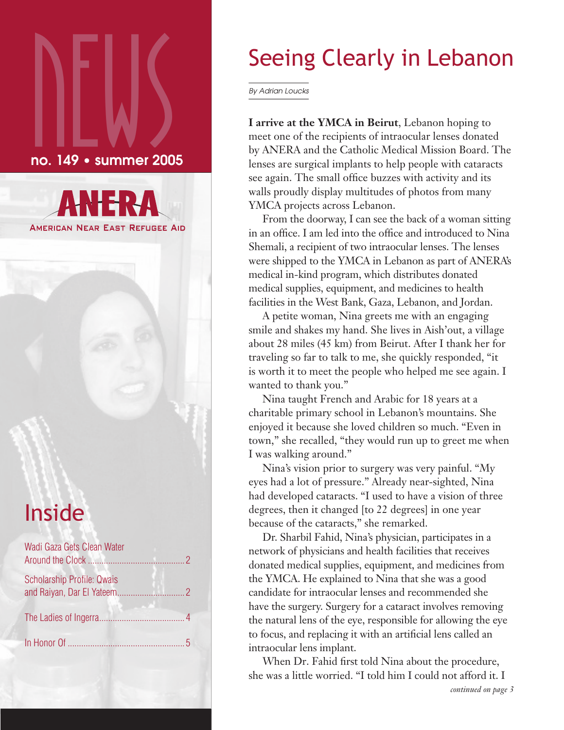# $\sum_{\text{no. 149}}$ no. 149 • summer 2005



# Inside

| Wadi Gaza Gets Clean Water |  |
|----------------------------|--|
| Scholarship Profile: Qwais |  |
|                            |  |
|                            |  |

# Seeing Clearly in Lebanon

By Adrian Loucks

**I arrive at the YMCA in Beirut**, Lebanon hoping to meet one of the recipients of intraocular lenses donated by ANERA and the Catholic Medical Mission Board. The lenses are surgical implants to help people with cataracts see again. The small office buzzes with activity and its walls proudly display multitudes of photos from many YMCA projects across Lebanon.

From the doorway, I can see the back of a woman sitting in an office. I am led into the office and introduced to Nina Shemali, a recipient of two intraocular lenses. The lenses were shipped to the YMCA in Lebanon as part of ANERA's medical in-kind program, which distributes donated medical supplies, equipment, and medicines to health facilities in the West Bank, Gaza, Lebanon, and Jordan.

A petite woman, Nina greets me with an engaging smile and shakes my hand. She lives in Aish'out, a village about 28 miles (45 km) from Beirut. After I thank her for traveling so far to talk to me, she quickly responded, "it is worth it to meet the people who helped me see again. I wanted to thank you."

Nina taught French and Arabic for 18 years at a charitable primary school in Lebanon's mountains. She enjoyed it because she loved children so much. "Even in town," she recalled, "they would run up to greet me when I was walking around."

Nina's vision prior to surgery was very painful. "My eyes had a lot of pressure." Already near-sighted, Nina had developed cataracts. "I used to have a vision of three degrees, then it changed [to 22 degrees] in one year because of the cataracts," she remarked.

Dr. Sharbil Fahid, Nina's physician, participates in a network of physicians and health facilities that receives donated medical supplies, equipment, and medicines from the YMCA. He explained to Nina that she was a good candidate for intraocular lenses and recommended she have the surgery. Surgery for a cataract involves removing the natural lens of the eye, responsible for allowing the eye to focus, and replacing it with an artificial lens called an intraocular lens implant.

When Dr. Fahid first told Nina about the procedure, she was a little worried. "I told him I could not afford it. I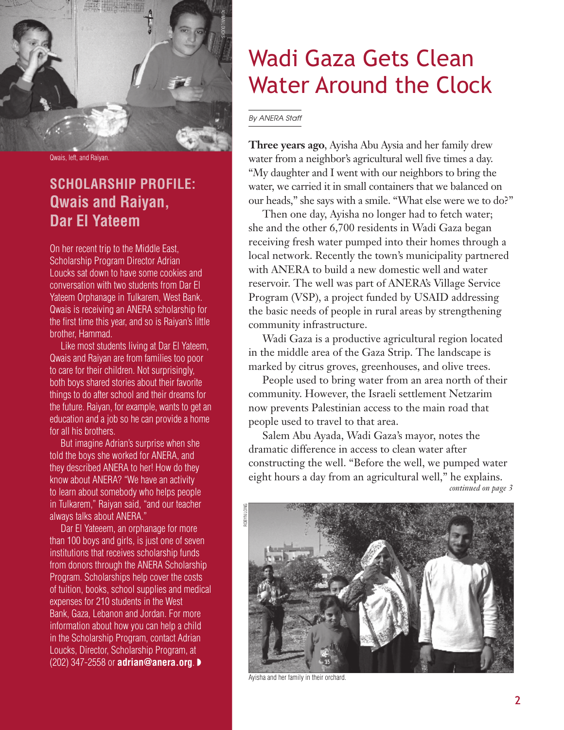

Qwais, left, and Raiyan.

## **SCHOLARSHIP PROFILE: Qwais and Raiyan, Dar El Yateem**

On her recent trip to the Middle East, Scholarship Program Director Adrian Loucks sat down to have some cookies and conversation with two students from Dar El Yateem Orphanage in Tulkarem, West Bank. Qwais is receiving an ANERA scholarship for the first time this year, and so is Raiyan's little brother, Hammad.

Like most students living at Dar El Yateem, Qwais and Raiyan are from families too poor to care for their children. Not surprisingly, both boys shared stories about their favorite things to do after school and their dreams for the future. Raiyan, for example, wants to get an education and a job so he can provide a home for all his brothers.

But imagine Adrian's surprise when she told the boys she worked for ANERA, and they described ANERA to her! How do they know about ANERA? "We have an activity to learn about somebody who helps people in Tulkarem," Raiyan said, "and our teacher always talks about ANERA."

Dar El Yateeem, an orphanage for more than 100 boys and girls, is just one of seven institutions that receives scholarship funds from donors through the ANERA Scholarship Program. Scholarships help cover the costs of tuition, books, school supplies and medical expenses for 210 students in the West Bank, Gaza, Lebanon and Jordan. For more information about how you can help a child in the Scholarship Program, contact Adrian Loucks, Director, Scholarship Program, at (202) 347-2558 or **adrian@anera.org**. ◗

# Wadi Gaza Gets Clean Water Around the Clock

By ANERA Staff

**Three years ago**, Ayisha Abu Aysia and her family drew water from a neighbor's agricultural well five times a day. "My daughter and I went with our neighbors to bring the water, we carried it in small containers that we balanced on our heads," she says with a smile. "What else were we to do?"

Then one day, Ayisha no longer had to fetch water; she and the other 6,700 residents in Wadi Gaza began receiving fresh water pumped into their homes through a local network. Recently the town's municipality partnered with ANERA to build a new domestic well and water reservoir. The well was part of ANERA's Village Service Program (VSP), a project funded by USAID addressing the basic needs of people in rural areas by strengthening community infrastructure.

Wadi Gaza is a productive agricultural region located in the middle area of the Gaza Strip. The landscape is marked by citrus groves, greenhouses, and olive trees.

People used to bring water from an area north of their community. However, the Israeli settlement Netzarim now prevents Palestinian access to the main road that people used to travel to that area.

Salem Abu Ayada, Wadi Gaza's mayor, notes the dramatic difference in access to clean water after constructing the well. "Before the well, we pumped water eight hours a day from an agricultural well," he explains. *continued on page 3*



Ayisha and her family in their orchard.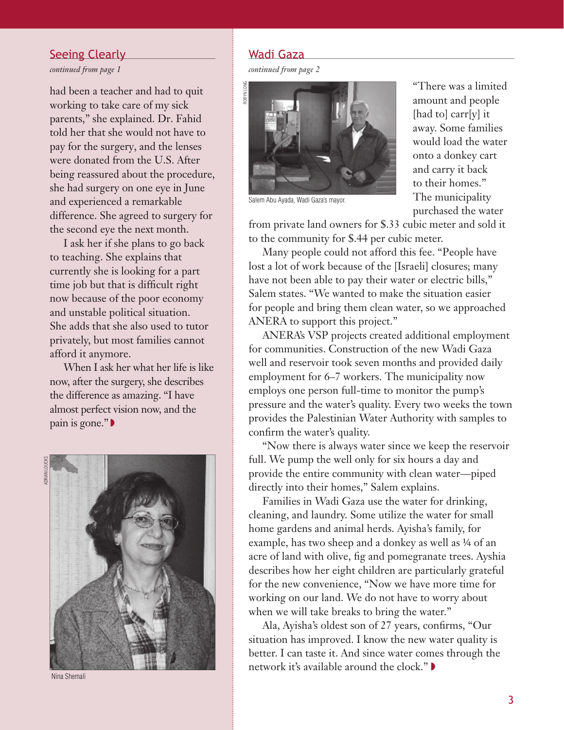#### Seeing Clearly

*continued from page 1* 

had been a teacher and had to quit working to take care of my sick parents," she explained. Dr. Fahid told her that she would not have to pay for the surgery, and the lenses were donated from the U.S. After being reassured about the procedure, she had surgery on one eye in June and experienced a remarkable difference. She agreed to surgery for the second eye the next month.

I ask her if she plans to go back to teaching. She explains that currently she is looking for a part time job but that is difficult right now because of the poor economy and unstable political situation. She adds that she also used to tutor privately, but most families cannot afford it anymore.

When I ask her what her life is like now, after the surgery, she describes the difference as amazing. "I have almost perfect vision now, and the pain is gone." ◗





Nina Shemali

### Wadi Gaza

*continued from page 2* 



"There was a limited amount and people [had to] carr[y] it away. Some families would load the water onto a donkey cart and carry it back to their homes." The municipality purchased the water

Salem Abu Ayada, Wadi Gaza's mayor.

from private land owners for \$.33 cubic meter and sold it to the community for \$.44 per cubic meter.

Many people could not afford this fee. "People have lost a lot of work because of the [Israeli] closures; many have not been able to pay their water or electric bills," Salem states. "We wanted to make the situation easier for people and bring them clean water, so we approached ANERA to support this project."

ANERA's VSP projects created additional employment for communities. Construction of the new Wadi Gaza well and reservoir took seven months and provided daily employment for 6–7 workers. The municipality now employs one person full-time to monitor the pump's pressure and the water's quality. Every two weeks the town provides the Palestinian Water Authority with samples to confirm the water's quality.

"Now there is always water since we keep the reservoir full. We pump the well only for six hours a day and provide the entire community with clean water—piped directly into their homes," Salem explains.

Families in Wadi Gaza use the water for drinking, cleaning, and laundry. Some utilize the water for small home gardens and animal herds. Ayisha's family, for example, has two sheep and a donkey as well as  $\frac{1}{4}$  of an acre of land with olive, fig and pomegranate trees. Ayshia describes how her eight children are particularly grateful for the new convenience, "Now we have more time for working on our land. We do not have to worry about when we will take breaks to bring the water."

Ala, Ayisha's oldest son of 27 years, confirms, "Our situation has improved. I know the new water quality is better. I can taste it. And since water comes through the network it's available around the clock." ▶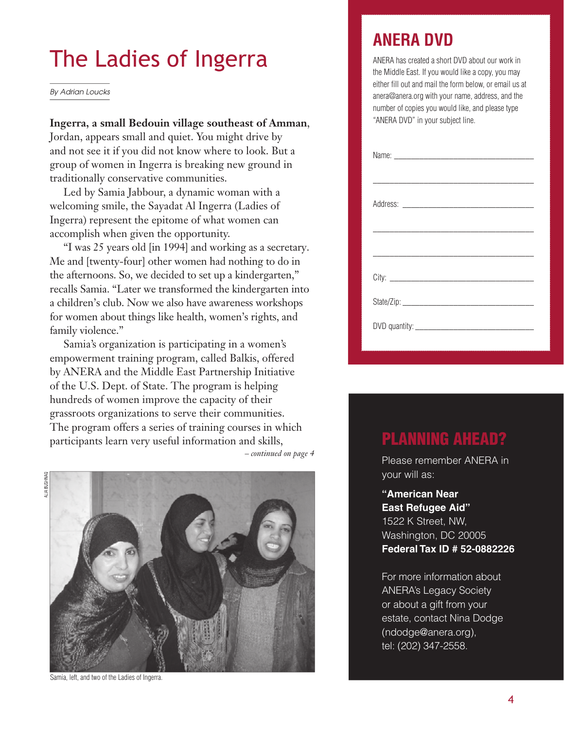# The Ladies of Ingerra

By Adrian Loucks

#### **Ingerra, a small Bedouin village southeast of Amman**,

Jordan, appears small and quiet. You might drive by and not see it if you did not know where to look. But a group of women in Ingerra is breaking new ground in traditionally conservative communities.

Led by Samia Jabbour, a dynamic woman with a welcoming smile, the Sayadat Al Ingerra (Ladies of Ingerra) represent the epitome of what women can accomplish when given the opportunity.

"I was 25 years old [in 1994] and working as a secretary. Me and [twenty-four] other women had nothing to do in the afternoons. So, we decided to set up a kindergarten," recalls Samia. "Later we transformed the kindergarten into a children's club. Now we also have awareness workshops for women about things like health, women's rights, and family violence."

Samia's organization is participating in a women's empowerment training program, called Balkis, offered by ANERA and the Middle East Partnership Initiative of the U.S. Dept. of State. The program is helping hundreds of women improve the capacity of their grassroots organizations to serve their communities. The program offers a series of training courses in which participants learn very useful information and skills, *– continued on page 4*

ALIA BUSHNAQ **IIA RIISHN** 



Samia, left, and two of the Ladies of Ingerra.

# **ANERA DVD**

ANERA has created a short DVD about our work in the Middle East. If you would like a copy, you may either fill out and mail the form below, or email us at anera@anera.org with your name, address, and the number of copies you would like, and please type "ANERA DVD" in your subject line.

# PLANNING AHEAD?

Please remember ANERA in your will as:

**"American Near East Refugee Aid"** 1522 K Street, NW, Washington, DC 20005 **Federal Tax ID # 52-0882226**

For more information about ANERA's Legacy Society or about a gift from your estate, contact Nina Dodge (ndodge@anera.org), tel: (202) 347-2558.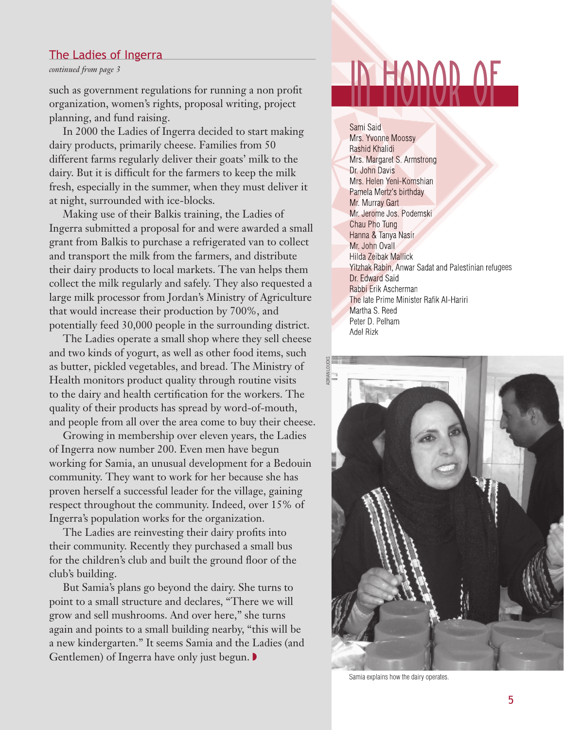## The Ladies of Ingerra

*continued from page 3*

such as government regulations for running a non profit organization, women's rights, proposal writing, project planning, and fund raising.

In 2000 the Ladies of Ingerra decided to start making dairy products, primarily cheese. Families from 50 different farms regularly deliver their goats' milk to the dairy. But it is difficult for the farmers to keep the milk fresh, especially in the summer, when they must deliver it at night, surrounded with ice-blocks.

Making use of their Balkis training, the Ladies of Ingerra submitted a proposal for and were awarded a small grant from Balkis to purchase a refrigerated van to collect and transport the milk from the farmers, and distribute their dairy products to local markets. The van helps them collect the milk regularly and safely. They also requested a large milk processor from Jordan's Ministry of Agriculture that would increase their production by 700%, and potentially feed 30,000 people in the surrounding district.

The Ladies operate a small shop where they sell cheese and two kinds of yogurt, as well as other food items, such as butter, pickled vegetables, and bread. The Ministry of Health monitors product quality through routine visits to the dairy and health certification for the workers. The quality of their products has spread by word-of-mouth, and people from all over the area come to buy their cheese.

Growing in membership over eleven years, the Ladies of Ingerra now number 200. Even men have begun working for Samia, an unusual development for a Bedouin community. They want to work for her because she has proven herself a successful leader for the village, gaining respect throughout the community. Indeed, over 15% of Ingerra's population works for the organization.

The Ladies are reinvesting their dairy profits into their community. Recently they purchased a small bus for the children's club and built the ground floor of the club's building.

But Samia's plans go beyond the dairy. She turns to point to a small structure and declares, "There we will grow and sell mushrooms. And over here," she turns again and points to a small building nearby, "this will be a new kindergarten." It seems Samia and the Ladies (and Gentlemen) of Ingerra have only just begun. **▶** 

# in honor of

Sami Said Mrs. Yvonne Moossy Rashid Khalidi Mrs. Margaret S. Armstrong Dr. John Davis Mrs. Helen Yeni-Komshian Pamela Mertz's birthday Mr. Murray Gart Mr. Jerome Jos. Podemski Chau Pho Tung Hanna & Tanya Nasir Mr. John Ovall Hilda Zeibak Mallick Yitzhak Rabin, Anwar Sadat and Palestinian refugees Dr. Edward Said Rabbi Erik Ascherman The late Prime Minister Rafik Al-Hariri Martha S. Reed Peter D. Pelham Adel Rizk



Samia explains how the dairy operates.